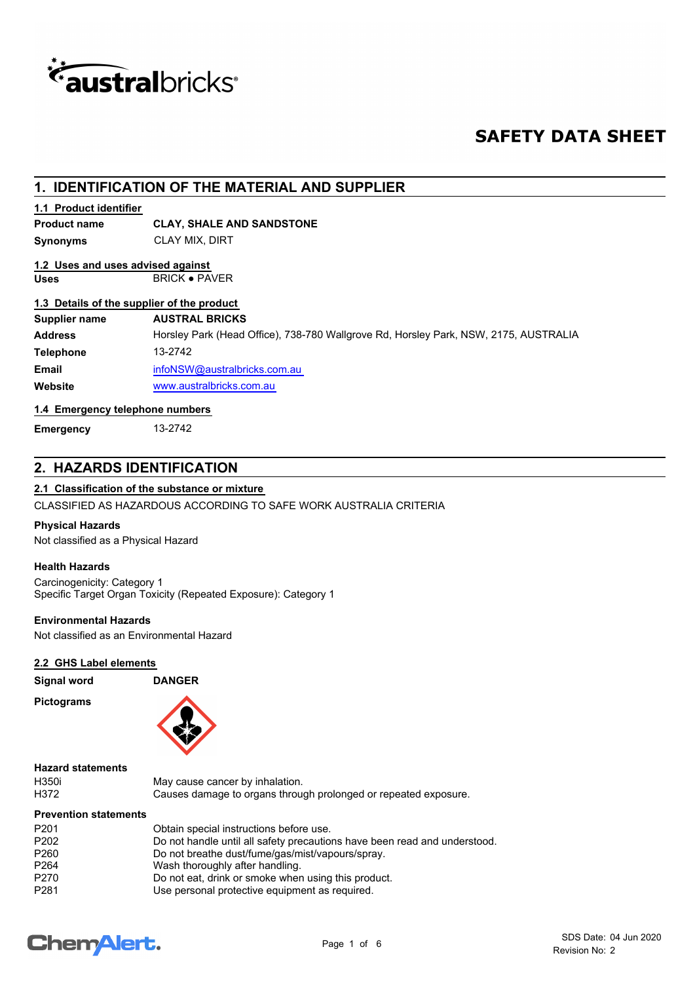

# **SAFETY DATA SHEET**

## **1. IDENTIFICATION OF THE MATERIAL AND SUPPLIER**

## **1.1 Product identifier**

## **Product name CLAY, SHALE AND SANDSTONE**

**Synonyms** CLAY MIX, DIRT

## **1.2 Uses and uses advised against**

# Uses BRICK · PAVER

## **1.3 Details of the supplier of the product**

| Supplier name | <b>AUSTRAL BRICKS</b>                                                                |
|---------------|--------------------------------------------------------------------------------------|
| Address       | Horsley Park (Head Office), 738-780 Wallgrove Rd, Horsley Park, NSW, 2175, AUSTRALIA |
| Telephone     | 13-2742                                                                              |
| Email         | infoNSW@australbricks.com.au                                                         |
| Website       | www.australbricks.com.au                                                             |

## **1.4 Emergency telephone numbers**

**Emergency** 13-2742

## **2. HAZARDS IDENTIFICATION**

## **2.1 Classification of the substance or mixture**

CLASSIFIED AS HAZARDOUS ACCORDING TO SAFE WORK AUSTRALIA CRITERIA

## **Physical Hazards**

Not classified as a Physical Hazard

## **Health Hazards**

Carcinogenicity: Category 1 Specific Target Organ Toxicity (Repeated Exposure): Category 1

## **Environmental Hazards**

Not classified as an Environmental Hazard

## **2.2 GHS Label elements**

**Signal word DANGER Pictograms**



## **Hazard statements**

| H350i |  |
|-------|--|
| H37   |  |

May cause cancer by inhalation. H372 Causes damage to organs through prolonged or repeated exposure.

## **Prevention statements**

| P <sub>201</sub> | Obtain special instructions before use.                                   |
|------------------|---------------------------------------------------------------------------|
| P <sub>202</sub> | Do not handle until all safety precautions have been read and understood. |
| P <sub>260</sub> | Do not breathe dust/fume/gas/mist/vapours/spray.                          |
| P <sub>264</sub> | Wash thoroughly after handling.                                           |
| P <sub>270</sub> | Do not eat, drink or smoke when using this product.                       |
| P <sub>281</sub> | Use personal protective equipment as required.                            |

# **ChemAlert.**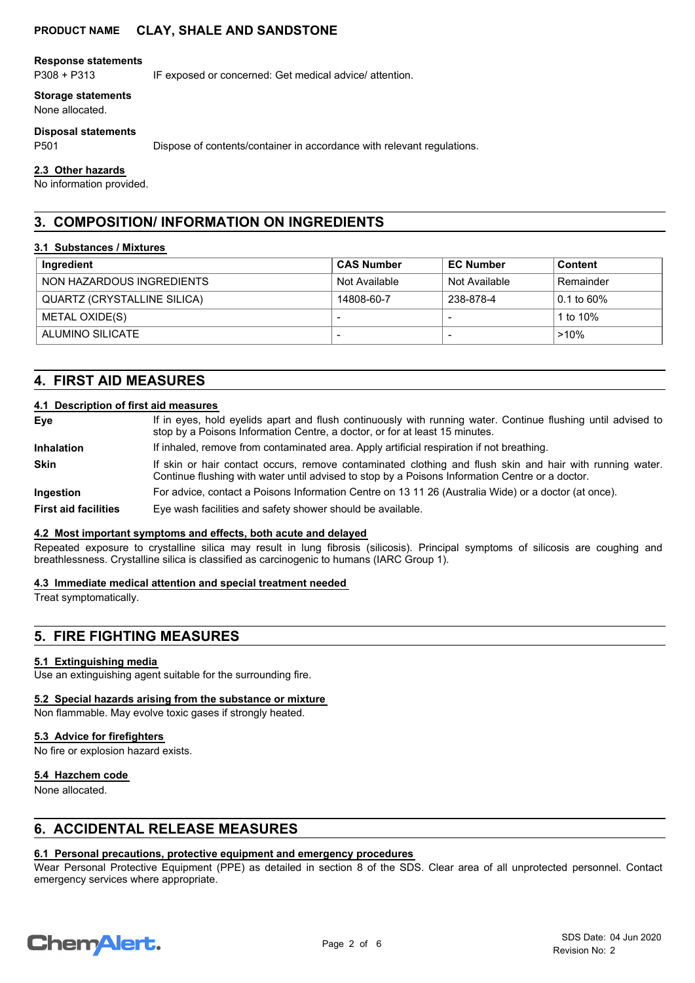## **PRODUCT NAME CLAY, SHALE AND SANDSTONE**

#### **Response statements**

P308 + P313 IF exposed or concerned: Get medical advice/ attention.

#### **Storage statements**

None allocated.

#### **Disposal statements**

P501 Dispose of contents/container in accordance with relevant regulations.

#### **2.3 Other hazards**

No information provided.

## **3. COMPOSITION/ INFORMATION ON INGREDIENTS**

#### **3.1 Substances / Mixtures**

| Ingredient                  | <b>CAS Number</b>        | <b>EC Number</b> | <b>Content</b> |
|-----------------------------|--------------------------|------------------|----------------|
| NON HAZARDOUS INGREDIENTS   | Not Available            | Not Available    | Remainder      |
| QUARTZ (CRYSTALLINE SILICA) | 14808-60-7               | 238-878-4        | 0.1 to 60%     |
| METAL OXIDE(S)              |                          |                  | 1 to $10\%$    |
| ALUMINO SILICATE            | $\overline{\phantom{a}}$ |                  | $>10\%$        |

## **4. FIRST AID MEASURES**

#### **4.1 Description of first aid measures**

If in eyes, hold eyelids apart and flush continuously with running water. Continue flushing until advised to stop by a Poisons Information Centre, a doctor, or for at least 15 minutes. **Eye Inhalation** If inhaled, remove from contaminated area. Apply artificial respiration if not breathing. If skin or hair contact occurs, remove contaminated clothing and flush skin and hair with running water. Continue flushing with water until advised to stop by a Poisons Information Centre or a doctor. **Skin Ingestion** For advice, contact a Poisons Information Centre on 13 11 26 (Australia Wide) or a doctor (at once). **First aid facilities** Eye wash facilities and safety shower should be available.

#### **4.2 Most important symptoms and effects, both acute and delayed**

Repeated exposure to crystalline silica may result in lung fibrosis (silicosis). Principal symptoms of silicosis are coughing and breathlessness. Crystalline silica is classified as carcinogenic to humans (IARC Group 1).

#### **4.3 Immediate medical attention and special treatment needed**

Treat symptomatically.

## **5. FIRE FIGHTING MEASURES**

## **5.1 Extinguishing media**

Use an extinguishing agent suitable for the surrounding fire.

#### **5.2 Special hazards arising from the substance or mixture**

Non flammable. May evolve toxic gases if strongly heated.

## **5.3 Advice for firefighters**

No fire or explosion hazard exists.

#### **5.4 Hazchem code**

None allocated.

## **6. ACCIDENTAL RELEASE MEASURES**

## **6.1 Personal precautions, protective equipment and emergency procedures**

Wear Personal Protective Equipment (PPE) as detailed in section 8 of the SDS. Clear area of all unprotected personnel. Contact emergency services where appropriate.

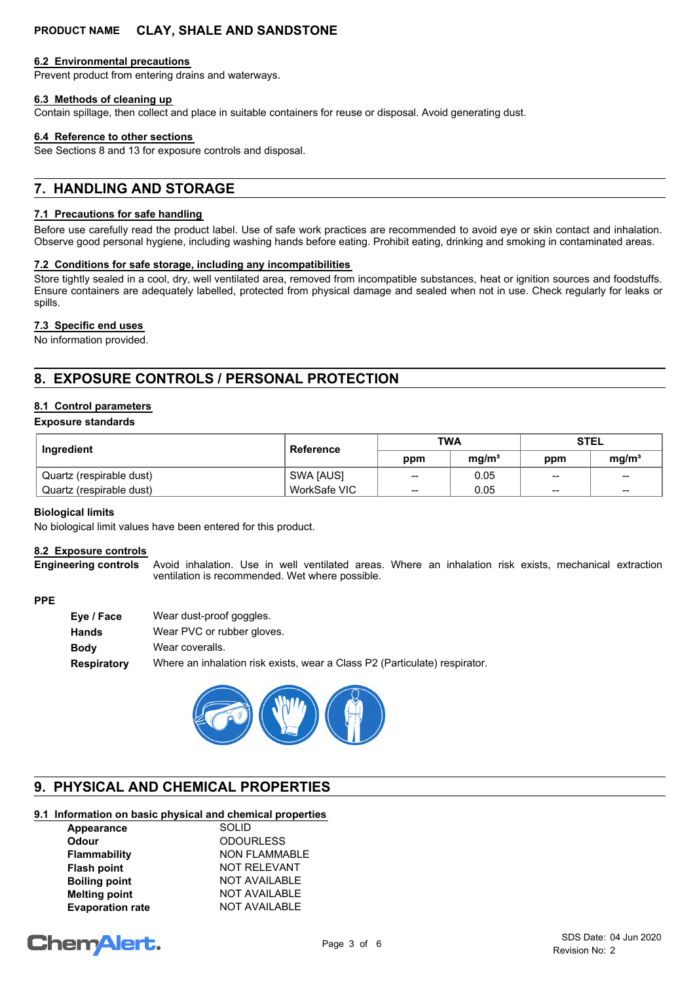## **PRODUCT NAME CLAY, SHALE AND SANDSTONE**

#### **6.2 Environmental precautions**

Prevent product from entering drains and waterways.

#### **6.3 Methods of cleaning up**

Contain spillage, then collect and place in suitable containers for reuse or disposal. Avoid generating dust.

#### **6.4 Reference to other sections**

See Sections 8 and 13 for exposure controls and disposal.

## **7. HANDLING AND STORAGE**

#### **7.1 Precautions for safe handling**

Before use carefully read the product label. Use of safe work practices are recommended to avoid eye or skin contact and inhalation. Observe good personal hygiene, including washing hands before eating. Prohibit eating, drinking and smoking in contaminated areas.

#### **7.2 Conditions for safe storage, including any incompatibilities**

Store tightly sealed in a cool, dry, well ventilated area, removed from incompatible substances, heat or ignition sources and foodstuffs. Ensure containers are adequately labelled, protected from physical damage and sealed when not in use. Check regularly for leaks or spills.

#### **7.3 Specific end uses**

No information provided.

## **8. EXPOSURE CONTROLS / PERSONAL PROTECTION**

## **8.1 Control parameters**

#### **Exposure standards**

| Ingredient               | Reference    | <b>TWA</b>      |                   | <b>STEL</b>     |                   |
|--------------------------|--------------|-----------------|-------------------|-----------------|-------------------|
|                          |              | ppm             | ma/m <sup>3</sup> | ppm             | mq/m <sup>3</sup> |
| Quartz (respirable dust) | SWA [AUS]    | $\qquad \qquad$ | 0.05              | $\sim$          | $\sim$            |
| Quartz (respirable dust) | WorkSafe VIC | $\qquad \qquad$ | 0.05              | $\qquad \qquad$ | $\sim$            |

#### **Biological limits**

No biological limit values have been entered for this product.

## **8.2 Exposure controls**

Avoid inhalation. Use in well ventilated areas. Where an inhalation risk exists, mechanical extraction ventilation is recommended. Wet where possible. **Engineering controls**

### **PPE**

| Wear dust-proof goggles.                                                   |
|----------------------------------------------------------------------------|
| Wear PVC or rubber gloves.                                                 |
| Wear coveralls.                                                            |
| Where an inhalation risk exists, wear a Class P2 (Particulate) respirator. |
|                                                                            |



## **9. PHYSICAL AND CHEMICAL PROPERTIES**

## **9.1 Information on basic physical and chemical properties**

| <b>SOLID</b>         |
|----------------------|
| <b>ODOURLESS</b>     |
| <b>NON FLAMMABLE</b> |
| <b>NOT RELEVANT</b>  |
| <b>NOT AVAILABLE</b> |
| <b>NOT AVAILABLE</b> |
| <b>NOT AVAILABLE</b> |
|                      |

# **ChemAlert.**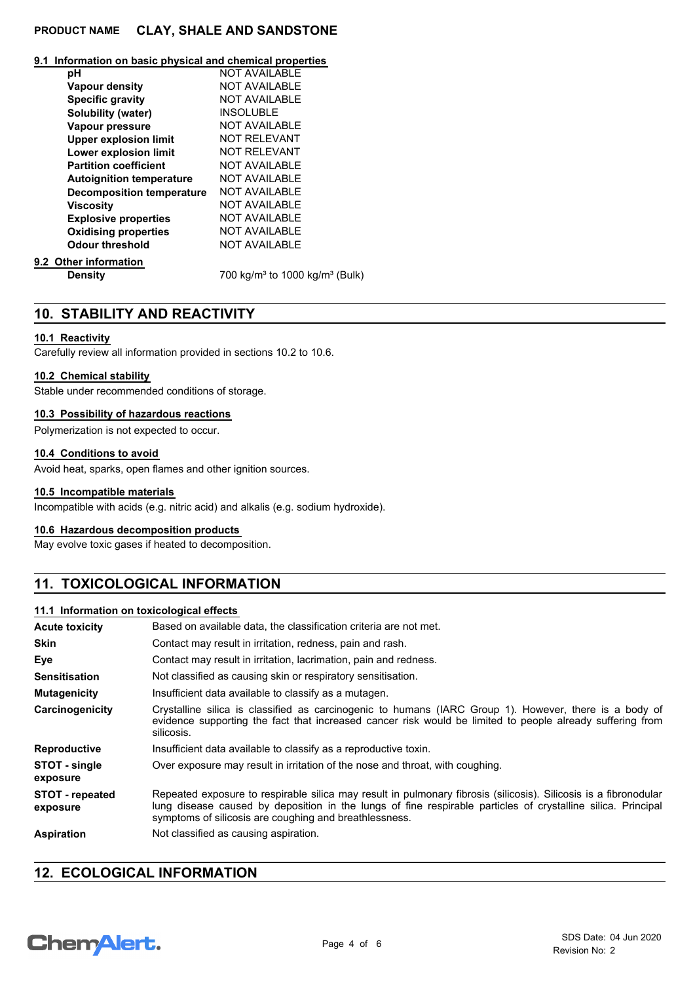## **PRODUCT NAME CLAY, SHALE AND SANDSTONE**

## **9.1 Information on basic physical and chemical properties**

| рH                               | <b>NOT AVAILABLE</b>                                   |
|----------------------------------|--------------------------------------------------------|
| Vapour density                   | <b>NOT AVAILABLE</b>                                   |
| <b>Specific gravity</b>          | <b>NOT AVAILABLE</b>                                   |
| <b>Solubility (water)</b>        | <b>INSOLUBLE</b>                                       |
| Vapour pressure                  | <b>NOT AVAILABLE</b>                                   |
| <b>Upper explosion limit</b>     | <b>NOT RELEVANT</b>                                    |
| Lower explosion limit            | <b>NOT RELEVANT</b>                                    |
| <b>Partition coefficient</b>     | <b>NOT AVAILABLE</b>                                   |
| <b>Autoignition temperature</b>  | <b>NOT AVAILABLE</b>                                   |
| <b>Decomposition temperature</b> | <b>NOT AVAILABLE</b>                                   |
| Viscosity                        | <b>NOT AVAILABLE</b>                                   |
| <b>Explosive properties</b>      | <b>NOT AVAILABLE</b>                                   |
| <b>Oxidising properties</b>      | <b>NOT AVAILABLE</b>                                   |
| <b>Odour threshold</b>           | <b>NOT AVAILABLE</b>                                   |
| 9.2 Other information            |                                                        |
| <b>Density</b>                   | 700 kg/m <sup>3</sup> to 1000 kg/m <sup>3</sup> (Bulk) |

## **10. STABILITY AND REACTIVITY**

## **10.1 Reactivity**

Carefully review all information provided in sections 10.2 to 10.6.

## **10.2 Chemical stability**

Stable under recommended conditions of storage.

## **10.3 Possibility of hazardous reactions**

Polymerization is not expected to occur.

## **10.4 Conditions to avoid**

Avoid heat, sparks, open flames and other ignition sources.

## **10.5 Incompatible materials**

Incompatible with acids (e.g. nitric acid) and alkalis (e.g. sodium hydroxide).

## **10.6 Hazardous decomposition products**

May evolve toxic gases if heated to decomposition.

# **11. TOXICOLOGICAL INFORMATION**

## **11.1 Information on toxicological effects**

| <b>Acute toxicity</b>              | Based on available data, the classification criteria are not met.                                                                                                                                                                                                                          |  |  |
|------------------------------------|--------------------------------------------------------------------------------------------------------------------------------------------------------------------------------------------------------------------------------------------------------------------------------------------|--|--|
| <b>Skin</b>                        | Contact may result in irritation, redness, pain and rash.                                                                                                                                                                                                                                  |  |  |
| Eye                                | Contact may result in irritation, lacrimation, pain and redness.                                                                                                                                                                                                                           |  |  |
| <b>Sensitisation</b>               | Not classified as causing skin or respiratory sensitisation.                                                                                                                                                                                                                               |  |  |
| <b>Mutagenicity</b>                | Insufficient data available to classify as a mutagen.                                                                                                                                                                                                                                      |  |  |
| Carcinogenicity                    | Crystalline silica is classified as carcinogenic to humans (IARC Group 1). However, there is a body of<br>evidence supporting the fact that increased cancer risk would be limited to people already suffering from<br>silicosis.                                                          |  |  |
| <b>Reproductive</b>                | Insufficient data available to classify as a reproductive toxin.                                                                                                                                                                                                                           |  |  |
| STOT - single<br>exposure          | Over exposure may result in irritation of the nose and throat, with coughing.                                                                                                                                                                                                              |  |  |
| <b>STOT</b> - repeated<br>exposure | Repeated exposure to respirable silica may result in pulmonary fibrosis (silicosis). Silicosis is a fibronodular<br>lung disease caused by deposition in the lungs of fine respirable particles of crystalline silica. Principal<br>symptoms of silicosis are coughing and breathlessness. |  |  |
| <b>Aspiration</b>                  | Not classified as causing aspiration.                                                                                                                                                                                                                                                      |  |  |

## **12. ECOLOGICAL INFORMATION**

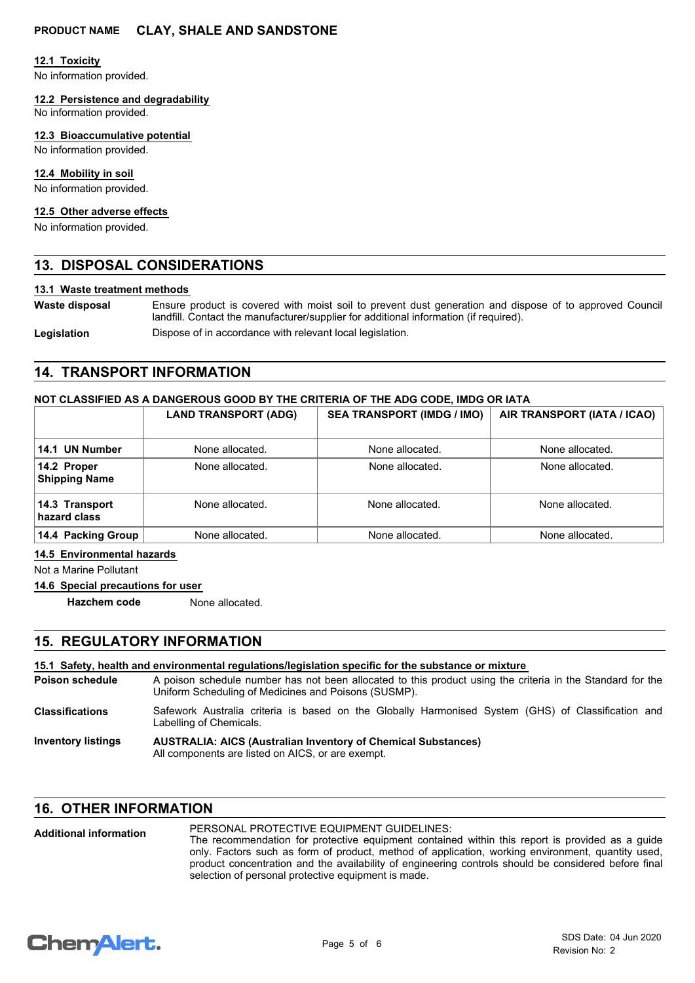## **12.1 Toxicity**

No information provided.

#### **12.2 Persistence and degradability**

No information provided.

## **12.3 Bioaccumulative potential**

No information provided.

## **12.4 Mobility in soil**

No information provided.

#### **12.5 Other adverse effects**

No information provided.

## **13. DISPOSAL CONSIDERATIONS**

#### **13.1 Waste treatment methods**

**Waste disposal**

Ensure product is covered with moist soil to prevent dust generation and dispose of to approved Council landfill. Contact the manufacturer/supplier for additional information (if required).

Legislation **Dispose of in accordance with relevant local legislation.** 

## **14. TRANSPORT INFORMATION**

#### **NOT CLASSIFIED AS A DANGEROUS GOOD BY THE CRITERIA OF THE ADG CODE, IMDG OR IATA**

|                                     | <b>LAND TRANSPORT (ADG)</b> | <b>SEA TRANSPORT (IMDG / IMO)</b> | AIR TRANSPORT (IATA / ICAO) |
|-------------------------------------|-----------------------------|-----------------------------------|-----------------------------|
| 14.1 UN Number                      | None allocated.             | None allocated.                   | None allocated.             |
| 14.2 Proper<br><b>Shipping Name</b> | None allocated.             | None allocated.                   | None allocated.             |
| 14.3 Transport<br>hazard class      | None allocated.             | None allocated.                   | None allocated.             |
| 14.4 Packing Group                  | None allocated.             | None allocated.                   | None allocated.             |

**14.5 Environmental hazards**

Not a Marine Pollutant

## **14.6 Special precautions for user**

**Hazchem code** None allocated.

## **15. REGULATORY INFORMATION**

#### **15.1 Safety, health and environmental regulations/legislation specific for the substance or mixture**

A poison schedule number has not been allocated to this product using the criteria in the Standard for the Uniform Scheduling of Medicines and Poisons (SUSMP). **Poison schedule**

- Safework Australia criteria is based on the Globally Harmonised System (GHS) of Classification and Labelling of Chemicals. **Classifications**
- **AUSTRALIA: AICS (Australian Inventory of Chemical Substances)** All components are listed on AICS, or are exempt. **Inventory listings**

## **16. OTHER INFORMATION**

#### PERSONAL PROTECTIVE EQUIPMENT GUIDELINES: The recommendation for protective equipment contained within this report is provided as a guide only. Factors such as form of product, method of application, working environment, quantity used, product concentration and the availability of engineering controls should be considered before final selection of personal protective equipment is made. **Additional information**

# **ChemAlert.**